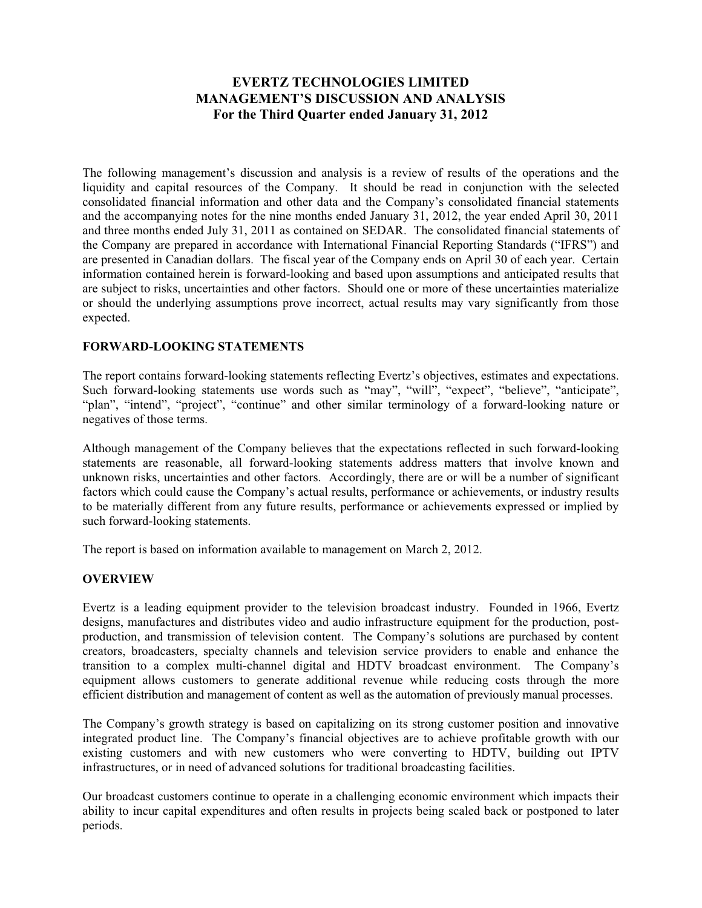# **EVERTZ TECHNOLOGIES LIMITED MANAGEMENT'S DISCUSSION AND ANALYSIS For the Third Quarter ended January 31, 2012**

The following management's discussion and analysis is a review of results of the operations and the liquidity and capital resources of the Company. It should be read in conjunction with the selected consolidated financial information and other data and the Company's consolidated financial statements and the accompanying notes for the nine months ended January 31, 2012, the year ended April 30, 2011 and three months ended July 31, 2011 as contained on SEDAR. The consolidated financial statements of the Company are prepared in accordance with International Financial Reporting Standards ("IFRS") and are presented in Canadian dollars. The fiscal year of the Company ends on April 30 of each year. Certain information contained herein is forward-looking and based upon assumptions and anticipated results that are subject to risks, uncertainties and other factors. Should one or more of these uncertainties materialize or should the underlying assumptions prove incorrect, actual results may vary significantly from those expected.

### **FORWARD-LOOKING STATEMENTS**

The report contains forward-looking statements reflecting Evertz's objectives, estimates and expectations. Such forward-looking statements use words such as "may", "will", "expect", "believe", "anticipate", "plan", "intend", "project", "continue" and other similar terminology of a forward-looking nature or negatives of those terms.

Although management of the Company believes that the expectations reflected in such forward-looking statements are reasonable, all forward-looking statements address matters that involve known and unknown risks, uncertainties and other factors. Accordingly, there are or will be a number of significant factors which could cause the Company's actual results, performance or achievements, or industry results to be materially different from any future results, performance or achievements expressed or implied by such forward-looking statements.

The report is based on information available to management on March 2, 2012.

### **OVERVIEW**

Evertz is a leading equipment provider to the television broadcast industry. Founded in 1966, Evertz designs, manufactures and distributes video and audio infrastructure equipment for the production, postproduction, and transmission of television content. The Company's solutions are purchased by content creators, broadcasters, specialty channels and television service providers to enable and enhance the transition to a complex multi-channel digital and HDTV broadcast environment. The Company's equipment allows customers to generate additional revenue while reducing costs through the more efficient distribution and management of content as well as the automation of previously manual processes.

The Company's growth strategy is based on capitalizing on its strong customer position and innovative integrated product line. The Company's financial objectives are to achieve profitable growth with our existing customers and with new customers who were converting to HDTV, building out IPTV infrastructures, or in need of advanced solutions for traditional broadcasting facilities.

Our broadcast customers continue to operate in a challenging economic environment which impacts their ability to incur capital expenditures and often results in projects being scaled back or postponed to later periods.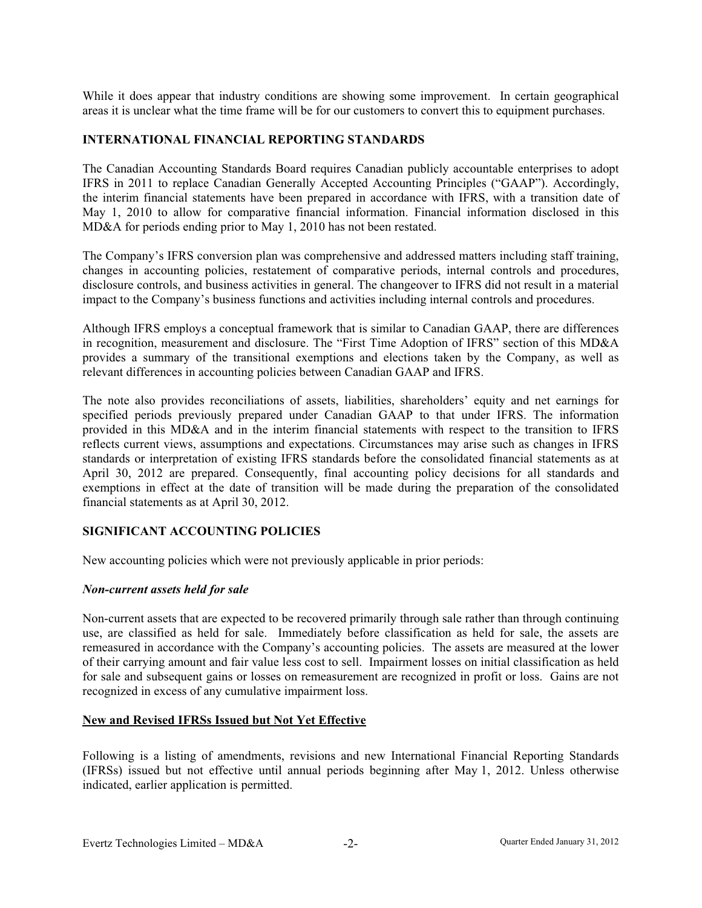While it does appear that industry conditions are showing some improvement. In certain geographical areas it is unclear what the time frame will be for our customers to convert this to equipment purchases.

#### **INTERNATIONAL FINANCIAL REPORTING STANDARDS**

The Canadian Accounting Standards Board requires Canadian publicly accountable enterprises to adopt IFRS in 2011 to replace Canadian Generally Accepted Accounting Principles ("GAAP"). Accordingly, the interim financial statements have been prepared in accordance with IFRS, with a transition date of May 1, 2010 to allow for comparative financial information. Financial information disclosed in this MD&A for periods ending prior to May 1, 2010 has not been restated.

The Company's IFRS conversion plan was comprehensive and addressed matters including staff training, changes in accounting policies, restatement of comparative periods, internal controls and procedures, disclosure controls, and business activities in general. The changeover to IFRS did not result in a material impact to the Company's business functions and activities including internal controls and procedures.

Although IFRS employs a conceptual framework that is similar to Canadian GAAP, there are differences in recognition, measurement and disclosure. The "First Time Adoption of IFRS" section of this MD&A provides a summary of the transitional exemptions and elections taken by the Company, as well as relevant differences in accounting policies between Canadian GAAP and IFRS.

The note also provides reconciliations of assets, liabilities, shareholders' equity and net earnings for specified periods previously prepared under Canadian GAAP to that under IFRS. The information provided in this MD&A and in the interim financial statements with respect to the transition to IFRS reflects current views, assumptions and expectations. Circumstances may arise such as changes in IFRS standards or interpretation of existing IFRS standards before the consolidated financial statements as at April 30, 2012 are prepared. Consequently, final accounting policy decisions for all standards and exemptions in effect at the date of transition will be made during the preparation of the consolidated financial statements as at April 30, 2012.

### **SIGNIFICANT ACCOUNTING POLICIES**

New accounting policies which were not previously applicable in prior periods:

#### *Non-current assets held for sale*

Non-current assets that are expected to be recovered primarily through sale rather than through continuing use, are classified as held for sale. Immediately before classification as held for sale, the assets are remeasured in accordance with the Company's accounting policies. The assets are measured at the lower of their carrying amount and fair value less cost to sell. Impairment losses on initial classification as held for sale and subsequent gains or losses on remeasurement are recognized in profit or loss. Gains are not recognized in excess of any cumulative impairment loss.

#### **New and Revised IFRSs Issued but Not Yet Effective**

Following is a listing of amendments, revisions and new International Financial Reporting Standards (IFRSs) issued but not effective until annual periods beginning after May 1, 2012. Unless otherwise indicated, earlier application is permitted.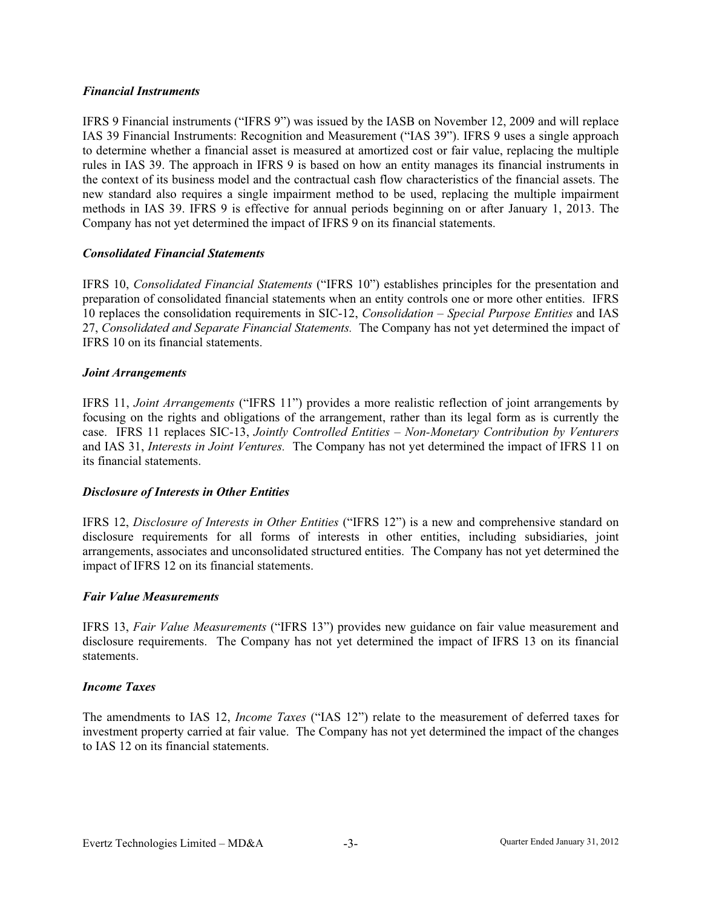#### *Financial Instruments*

IFRS 9 Financial instruments ("IFRS 9") was issued by the IASB on November 12, 2009 and will replace IAS 39 Financial Instruments: Recognition and Measurement ("IAS 39"). IFRS 9 uses a single approach to determine whether a financial asset is measured at amortized cost or fair value, replacing the multiple rules in IAS 39. The approach in IFRS 9 is based on how an entity manages its financial instruments in the context of its business model and the contractual cash flow characteristics of the financial assets. The new standard also requires a single impairment method to be used, replacing the multiple impairment methods in IAS 39. IFRS 9 is effective for annual periods beginning on or after January 1, 2013. The Company has not yet determined the impact of IFRS 9 on its financial statements.

#### *Consolidated Financial Statements*

IFRS 10, *Consolidated Financial Statements* ("IFRS 10") establishes principles for the presentation and preparation of consolidated financial statements when an entity controls one or more other entities. IFRS 10 replaces the consolidation requirements in SIC-12, *Consolidation – Special Purpose Entities* and IAS 27, *Consolidated and Separate Financial Statements.* The Company has not yet determined the impact of IFRS 10 on its financial statements.

#### *Joint Arrangements*

IFRS 11, *Joint Arrangements* ("IFRS 11") provides a more realistic reflection of joint arrangements by focusing on the rights and obligations of the arrangement, rather than its legal form as is currently the case. IFRS 11 replaces SIC-13, *Jointly Controlled Entities – Non-Monetary Contribution by Venturers*  and IAS 31, *Interests in Joint Ventures.* The Company has not yet determined the impact of IFRS 11 on its financial statements.

### *Disclosure of Interests in Other Entities*

IFRS 12, *Disclosure of Interests in Other Entities* ("IFRS 12") is a new and comprehensive standard on disclosure requirements for all forms of interests in other entities, including subsidiaries, joint arrangements, associates and unconsolidated structured entities. The Company has not yet determined the impact of IFRS 12 on its financial statements.

#### *Fair Value Measurements*

IFRS 13, *Fair Value Measurements* ("IFRS 13") provides new guidance on fair value measurement and disclosure requirements. The Company has not yet determined the impact of IFRS 13 on its financial statements.

#### *Income Taxes*

The amendments to IAS 12, *Income Taxes* ("IAS 12") relate to the measurement of deferred taxes for investment property carried at fair value. The Company has not yet determined the impact of the changes to IAS 12 on its financial statements.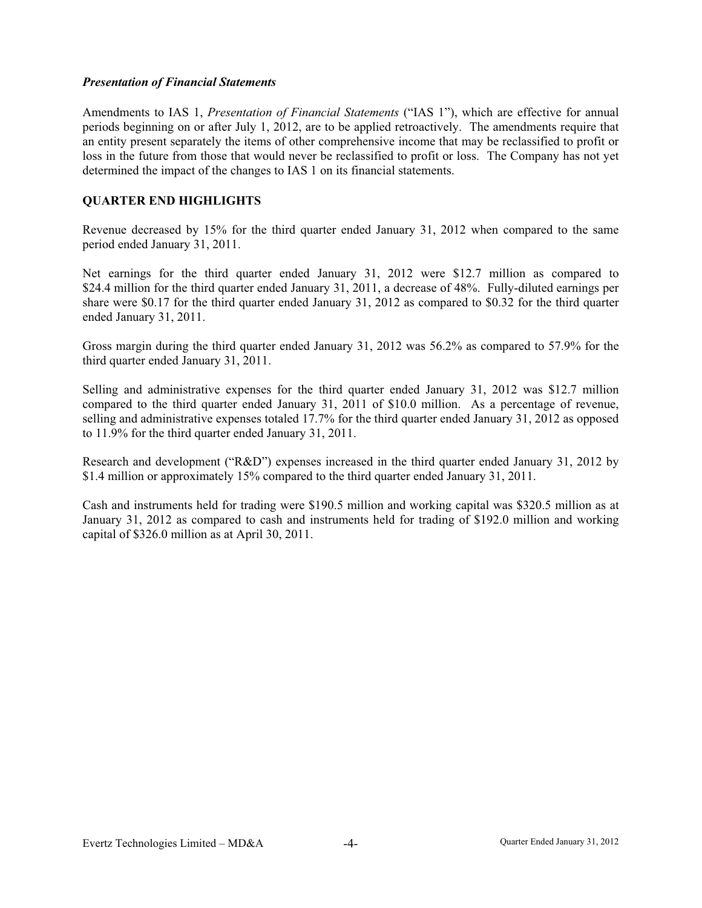#### *Presentation of Financial Statements*

Amendments to IAS 1, *Presentation of Financial Statements* ("IAS 1"), which are effective for annual periods beginning on or after July 1, 2012, are to be applied retroactively. The amendments require that an entity present separately the items of other comprehensive income that may be reclassified to profit or loss in the future from those that would never be reclassified to profit or loss. The Company has not yet determined the impact of the changes to IAS 1 on its financial statements.

# **QUARTER END HIGHLIGHTS**

Revenue decreased by 15% for the third quarter ended January 31, 2012 when compared to the same period ended January 31, 2011.

Net earnings for the third quarter ended January 31, 2012 were \$12.7 million as compared to \$24.4 million for the third quarter ended January 31, 2011, a decrease of 48%. Fully-diluted earnings per share were \$0.17 for the third quarter ended January 31, 2012 as compared to \$0.32 for the third quarter ended January 31, 2011.

Gross margin during the third quarter ended January 31, 2012 was 56.2% as compared to 57.9% for the third quarter ended January 31, 2011.

Selling and administrative expenses for the third quarter ended January 31, 2012 was \$12.7 million compared to the third quarter ended January 31, 2011 of \$10.0 million. As a percentage of revenue, selling and administrative expenses totaled 17.7% for the third quarter ended January 31, 2012 as opposed to 11.9% for the third quarter ended January 31, 2011.

Research and development ("R&D") expenses increased in the third quarter ended January 31, 2012 by \$1.4 million or approximately 15% compared to the third quarter ended January 31, 2011.

Cash and instruments held for trading were \$190.5 million and working capital was \$320.5 million as at January 31, 2012 as compared to cash and instruments held for trading of \$192.0 million and working capital of \$326.0 million as at April 30, 2011.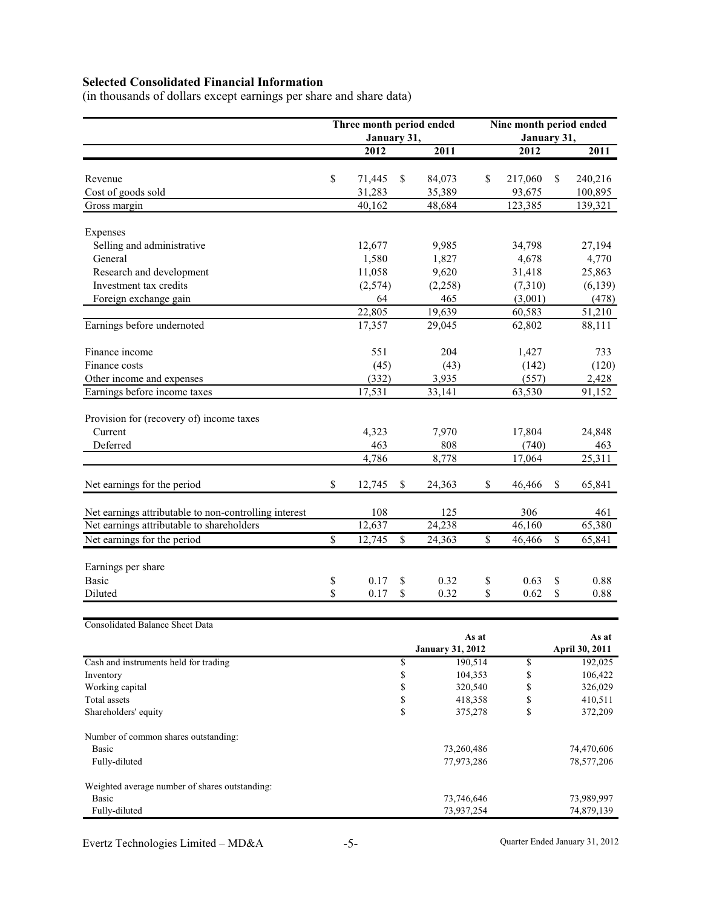# **Selected Consolidated Financial Information**

(in thousands of dollars except earnings per share and share data)

|                                                                | Three month period ended |                          |                          | Nine month period ended |                 |                          |                          |  |  |
|----------------------------------------------------------------|--------------------------|--------------------------|--------------------------|-------------------------|-----------------|--------------------------|--------------------------|--|--|
|                                                                | January 31,              |                          |                          |                         | January 31,     |                          |                          |  |  |
|                                                                | 2012                     |                          | 2011                     |                         | 2012            |                          | 2011                     |  |  |
|                                                                |                          |                          |                          |                         |                 |                          |                          |  |  |
| Revenue                                                        | \$<br>71,445             | \$                       | 84,073                   | \$                      | 217,060         | \$                       | 240,216                  |  |  |
| Cost of goods sold                                             | 31,283                   |                          | 35,389                   |                         | 93,675          |                          | 100,895                  |  |  |
| Gross margin                                                   | 40,162                   |                          | 48,684                   |                         | 123,385         |                          | 139,321                  |  |  |
| Expenses                                                       |                          |                          |                          |                         |                 |                          |                          |  |  |
| Selling and administrative                                     |                          |                          |                          |                         |                 |                          |                          |  |  |
| General                                                        | 12,677<br>1,580          |                          | 9,985<br>1,827           |                         | 34,798<br>4,678 |                          | 27,194<br>4,770          |  |  |
| Research and development                                       | 11,058                   |                          | 9,620                    |                         | 31,418          |                          | 25,863                   |  |  |
| Investment tax credits                                         | (2,574)                  |                          | (2,258)                  |                         | (7,310)         |                          | (6, 139)                 |  |  |
| Foreign exchange gain                                          | 64                       |                          | 465                      |                         | (3,001)         |                          | (478)                    |  |  |
|                                                                | 22,805                   |                          | 19,639                   |                         | 60,583          |                          | 51,210                   |  |  |
| Earnings before undernoted                                     | 17,357                   |                          | 29,045                   |                         | 62,802          |                          | 88,111                   |  |  |
|                                                                |                          |                          |                          |                         |                 |                          |                          |  |  |
| Finance income                                                 | 551                      |                          | 204                      |                         | 1,427           |                          | 733                      |  |  |
| Finance costs                                                  | (45)                     |                          | (43)                     |                         | (142)           |                          | (120)                    |  |  |
| Other income and expenses                                      | (332)                    |                          | 3,935                    |                         | (557)           |                          | 2,428                    |  |  |
| Earnings before income taxes                                   | 17,531                   |                          | 33,141                   |                         | 63,530          |                          | 91,152                   |  |  |
|                                                                |                          |                          |                          |                         |                 |                          |                          |  |  |
| Provision for (recovery of) income taxes                       |                          |                          |                          |                         |                 |                          |                          |  |  |
| Current                                                        | 4,323                    |                          | 7,970                    |                         | 17,804          |                          | 24,848                   |  |  |
| Deferred                                                       | 463                      |                          | 808                      |                         | (740)           |                          | 463                      |  |  |
|                                                                | 4,786                    |                          | 8,778                    |                         | 17,064          |                          | 25,311                   |  |  |
| Net earnings for the period                                    | \$<br>12,745             | \$                       | 24,363                   | \$                      | 46,466          | \$                       | 65,841                   |  |  |
| Net earnings attributable to non-controlling interest          | 108                      |                          | 125                      |                         | 306             |                          | 461                      |  |  |
| Net earnings attributable to shareholders                      | 12,637                   |                          | 24,238                   |                         | 46,160          |                          | 65,380                   |  |  |
| Net earnings for the period                                    | \$<br>12,745             | $\overline{\mathcal{S}}$ | 24,363                   | $\sqrt{3}$              | 46,466          | $\overline{\mathcal{S}}$ | 65,841                   |  |  |
|                                                                |                          |                          |                          |                         |                 |                          |                          |  |  |
| Earnings per share                                             |                          |                          |                          |                         |                 |                          |                          |  |  |
| <b>Basic</b>                                                   | \$<br>0.17               | \$                       | 0.32                     | \$                      | 0.63            | \$                       | 0.88                     |  |  |
| Diluted                                                        | \$<br>0.17               | \$                       | 0.32                     | \$                      | 0.62            | \$                       | 0.88                     |  |  |
|                                                                |                          |                          |                          |                         |                 |                          |                          |  |  |
| Consolidated Balance Sheet Data                                |                          |                          |                          |                         |                 |                          |                          |  |  |
|                                                                |                          |                          | <b>January 31, 2012</b>  | As at                   |                 |                          | As at<br>April 30, 2011  |  |  |
| Cash and instruments held for trading                          |                          | \$                       |                          | 190,514                 | \$              |                          | 192,025                  |  |  |
| Inventory                                                      |                          | \$                       | 104,353                  |                         | \$              |                          | 106,422                  |  |  |
| Working capital                                                |                          | \$                       |                          | 320,540                 | \$              |                          | 326,029                  |  |  |
| Total assets                                                   |                          | \$                       | 418,358                  |                         | \$              |                          | 410,511                  |  |  |
| Shareholders' equity                                           |                          | \$                       | 375,278                  |                         | \$              |                          | 372,209                  |  |  |
| Number of common shares outstanding:                           |                          |                          |                          |                         |                 |                          |                          |  |  |
| <b>Basic</b>                                                   |                          |                          | 73,260,486               |                         |                 |                          | 74,470,606               |  |  |
| Fully-diluted                                                  |                          |                          | 77,973,286               |                         |                 |                          | 78,577,206               |  |  |
|                                                                |                          |                          |                          |                         |                 |                          |                          |  |  |
| Weighted average number of shares outstanding:<br><b>Basic</b> |                          |                          |                          |                         |                 |                          |                          |  |  |
| Fully-diluted                                                  |                          |                          | 73,746,646<br>73,937,254 |                         |                 |                          | 73,989,997<br>74,879,139 |  |  |
|                                                                |                          |                          |                          |                         |                 |                          |                          |  |  |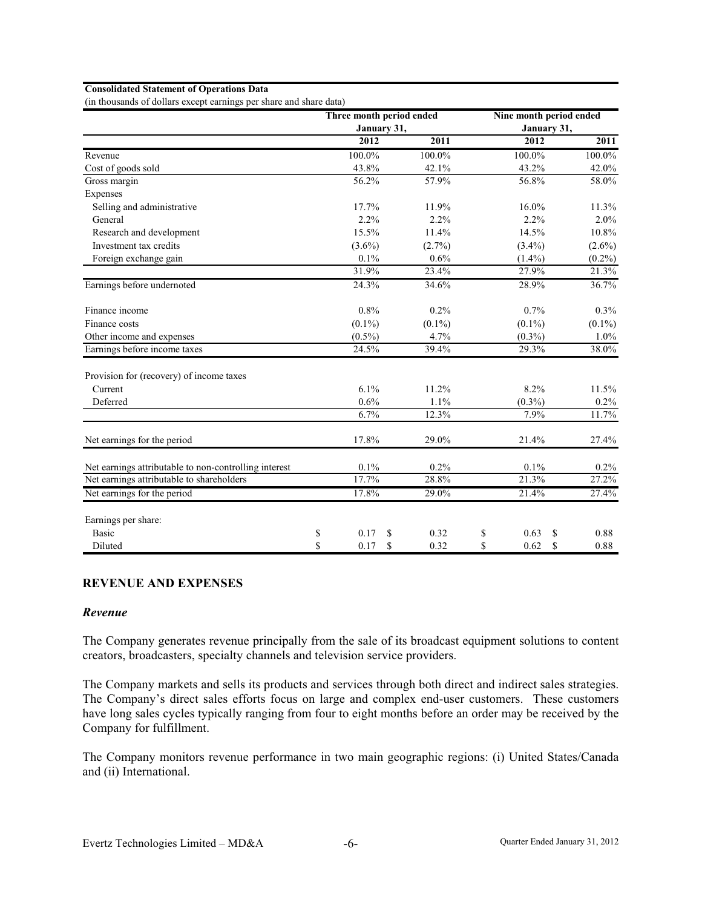#### **Consolidated Statement of Operations Data**

(in thousands of dollars except earnings per share and share data)

|                                                       | Three month period ended |    |           | Nine month period ended |           |
|-------------------------------------------------------|--------------------------|----|-----------|-------------------------|-----------|
|                                                       | January 31,              |    |           | January 31,             |           |
|                                                       | 2012                     |    | 2011      | 2012                    | 2011      |
| Revenue                                               | 100.0%                   |    | 100.0%    | 100.0%                  | 100.0%    |
| Cost of goods sold                                    | 43.8%                    |    | 42.1%     | 43.2%                   | 42.0%     |
| Gross margin                                          | 56.2%                    |    | 57.9%     | 56.8%                   | 58.0%     |
| Expenses                                              |                          |    |           |                         |           |
| Selling and administrative                            | 17.7%                    |    | 11.9%     | $16.0\%$                | 11.3%     |
| General                                               | 2.2%                     |    | 2.2%      | 2.2%                    | $2.0\%$   |
| Research and development                              | 15.5%                    |    | 11.4%     | 14.5%                   | 10.8%     |
| Investment tax credits                                | $(3.6\%)$                |    | $(2.7\%)$ | $(3.4\%)$               | $(2.6\%)$ |
| Foreign exchange gain                                 | $0.1\%$                  |    | 0.6%      | $(1.4\%)$               | $(0.2\%)$ |
|                                                       | 31.9%                    |    | 23.4%     | 27.9%                   | 21.3%     |
| Earnings before undernoted                            | 24.3%                    |    | 34.6%     | 28.9%                   | 36.7%     |
| Finance income                                        | 0.8%                     |    | 0.2%      | 0.7%                    | $0.3\%$   |
| Finance costs                                         | $(0.1\%)$                |    | $(0.1\%)$ | $(0.1\%)$               | $(0.1\%)$ |
| Other income and expenses                             | $(0.5\%)$                |    | 4.7%      | $(0.3\%)$               | 1.0%      |
| Earnings before income taxes                          | 24.5%                    |    | 39.4%     | 29.3%                   | 38.0%     |
| Provision for (recovery) of income taxes              |                          |    |           |                         |           |
| Current                                               | 6.1%                     |    | 11.2%     | 8.2%                    | 11.5%     |
| Deferred                                              | 0.6%                     |    | 1.1%      | $(0.3\%)$               | $0.2\%$   |
|                                                       | 6.7%                     |    | 12.3%     | 7.9%                    | 11.7%     |
| Net earnings for the period                           | 17.8%                    |    | 29.0%     | 21.4%                   | 27.4%     |
| Net earnings attributable to non-controlling interest | $0.1\%$                  |    | 0.2%      | 0.1%                    | 0.2%      |
| Net earnings attributable to shareholders             | 17.7%                    |    | 28.8%     | 21.3%                   | 27.2%     |
| Net earnings for the period                           | 17.8%                    |    | 29.0%     | 21.4%                   | 27.4%     |
| Earnings per share:                                   |                          |    |           |                         |           |
| Basic                                                 | \$<br>0.17               | S  | 0.32      | \$<br>0.63<br>\$        | 0.88      |
| Diluted                                               | \$<br>0.17               | \$ | 0.32      | \$<br>\$<br>0.62        | 0.88      |

#### **REVENUE AND EXPENSES**

#### *Revenue*

The Company generates revenue principally from the sale of its broadcast equipment solutions to content creators, broadcasters, specialty channels and television service providers.

The Company markets and sells its products and services through both direct and indirect sales strategies. The Company's direct sales efforts focus on large and complex end-user customers. These customers have long sales cycles typically ranging from four to eight months before an order may be received by the Company for fulfillment.

The Company monitors revenue performance in two main geographic regions: (i) United States/Canada and (ii) International.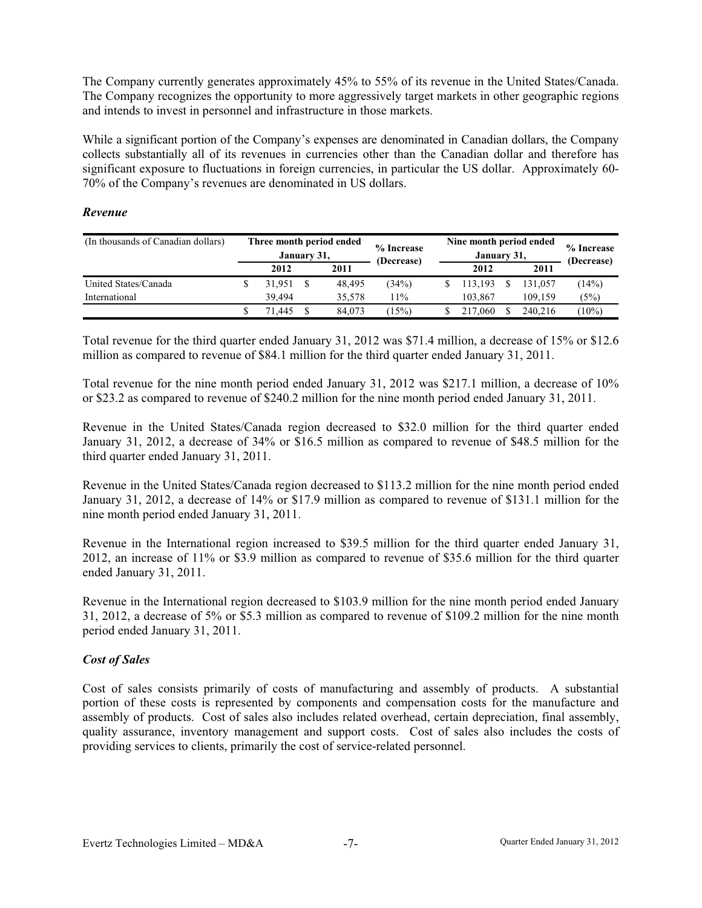The Company currently generates approximately 45% to 55% of its revenue in the United States/Canada. The Company recognizes the opportunity to more aggressively target markets in other geographic regions and intends to invest in personnel and infrastructure in those markets.

While a significant portion of the Company's expenses are denominated in Canadian dollars, the Company collects substantially all of its revenues in currencies other than the Canadian dollar and therefore has significant exposure to fluctuations in foreign currencies, in particular the US dollar. Approximately 60- 70% of the Company's revenues are denominated in US dollars.

### *Revenue*

| (In thousands of Canadian dollars) | Three month period ended<br>January 31, |        | % Increase<br>(Decrease) | Nine month period ended<br>January 31, | % Increase<br>(Decrease) |         |          |
|------------------------------------|-----------------------------------------|--------|--------------------------|----------------------------------------|--------------------------|---------|----------|
|                                    |                                         | 2012   | 2011                     |                                        | 2012                     | 2011    |          |
| United States/Canada               |                                         | 31.951 | 48.495                   | (34%)                                  | 113.193                  | 131.057 | (14%)    |
| International                      |                                         | 39.494 | 35.578                   | 11%                                    | 103.867                  | 109.159 | (5%)     |
|                                    |                                         | '1.445 | 84,073                   | $15\%)$                                | 217,060                  | 240.216 | $(10\%)$ |

Total revenue for the third quarter ended January 31, 2012 was \$71.4 million, a decrease of 15% or \$12.6 million as compared to revenue of \$84.1 million for the third quarter ended January 31, 2011.

Total revenue for the nine month period ended January 31, 2012 was \$217.1 million, a decrease of 10% or \$23.2 as compared to revenue of \$240.2 million for the nine month period ended January 31, 2011.

Revenue in the United States/Canada region decreased to \$32.0 million for the third quarter ended January 31, 2012, a decrease of 34% or \$16.5 million as compared to revenue of \$48.5 million for the third quarter ended January 31, 2011.

Revenue in the United States/Canada region decreased to \$113.2 million for the nine month period ended January 31, 2012, a decrease of 14% or \$17.9 million as compared to revenue of \$131.1 million for the nine month period ended January 31, 2011.

Revenue in the International region increased to \$39.5 million for the third quarter ended January 31, 2012, an increase of 11% or \$3.9 million as compared to revenue of \$35.6 million for the third quarter ended January 31, 2011.

Revenue in the International region decreased to \$103.9 million for the nine month period ended January 31, 2012, a decrease of 5% or \$5.3 million as compared to revenue of \$109.2 million for the nine month period ended January 31, 2011.

# *Cost of Sales*

Cost of sales consists primarily of costs of manufacturing and assembly of products. A substantial portion of these costs is represented by components and compensation costs for the manufacture and assembly of products. Cost of sales also includes related overhead, certain depreciation, final assembly, quality assurance, inventory management and support costs. Cost of sales also includes the costs of providing services to clients, primarily the cost of service-related personnel.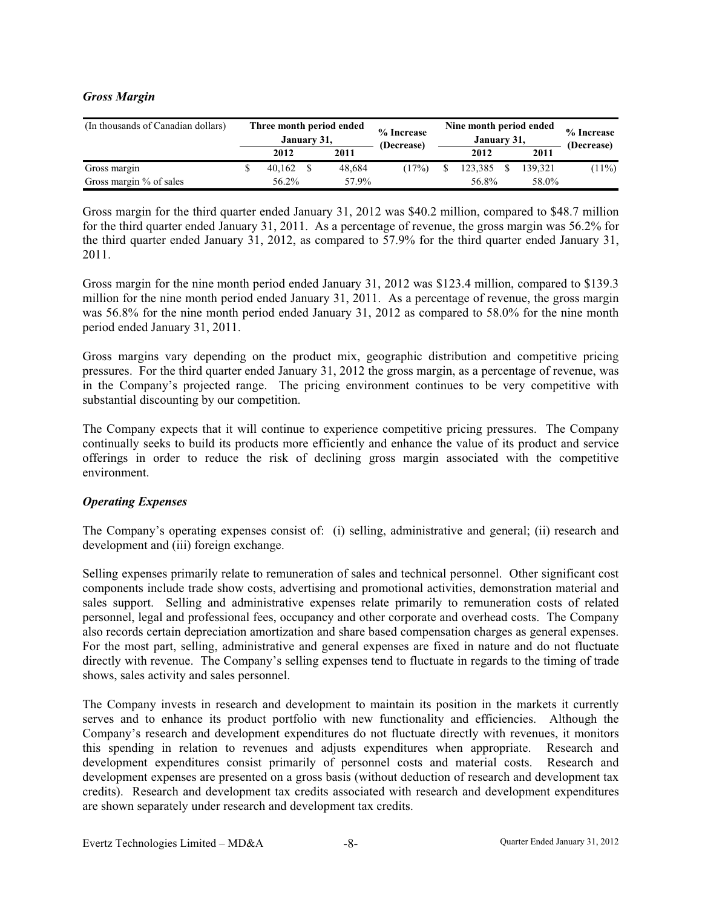### *Gross Margin*

| (In thousands of Canadian dollars) | Three month period ended<br>January 31, |  | % Increase<br>(Decrease) | Nine month period ended<br>January 31, | % Increase<br>(Decrease) |         |          |
|------------------------------------|-----------------------------------------|--|--------------------------|----------------------------------------|--------------------------|---------|----------|
|                                    | 2012                                    |  | 2011                     |                                        | 2012                     | 2011    |          |
| Gross margin                       | 40.162                                  |  | 48.684                   | (17%)                                  | 123.385                  | 139.321 | $(11\%)$ |
| Gross margin % of sales            | 56.2%                                   |  | 57.9%                    |                                        | 56.8%                    | 58.0%   |          |

Gross margin for the third quarter ended January 31, 2012 was \$40.2 million, compared to \$48.7 million for the third quarter ended January 31, 2011. As a percentage of revenue, the gross margin was 56.2% for the third quarter ended January 31, 2012, as compared to 57.9% for the third quarter ended January 31, 2011.

Gross margin for the nine month period ended January 31, 2012 was \$123.4 million, compared to \$139.3 million for the nine month period ended January 31, 2011. As a percentage of revenue, the gross margin was 56.8% for the nine month period ended January 31, 2012 as compared to 58.0% for the nine month period ended January 31, 2011.

Gross margins vary depending on the product mix, geographic distribution and competitive pricing pressures. For the third quarter ended January 31, 2012 the gross margin, as a percentage of revenue, was in the Company's projected range. The pricing environment continues to be very competitive with substantial discounting by our competition.

The Company expects that it will continue to experience competitive pricing pressures. The Company continually seeks to build its products more efficiently and enhance the value of its product and service offerings in order to reduce the risk of declining gross margin associated with the competitive environment.

### *Operating Expenses*

The Company's operating expenses consist of: (i) selling, administrative and general; (ii) research and development and (iii) foreign exchange.

Selling expenses primarily relate to remuneration of sales and technical personnel. Other significant cost components include trade show costs, advertising and promotional activities, demonstration material and sales support. Selling and administrative expenses relate primarily to remuneration costs of related personnel, legal and professional fees, occupancy and other corporate and overhead costs. The Company also records certain depreciation amortization and share based compensation charges as general expenses. For the most part, selling, administrative and general expenses are fixed in nature and do not fluctuate directly with revenue. The Company's selling expenses tend to fluctuate in regards to the timing of trade shows, sales activity and sales personnel.

The Company invests in research and development to maintain its position in the markets it currently serves and to enhance its product portfolio with new functionality and efficiencies. Although the Company's research and development expenditures do not fluctuate directly with revenues, it monitors this spending in relation to revenues and adjusts expenditures when appropriate. Research and development expenditures consist primarily of personnel costs and material costs. Research and development expenses are presented on a gross basis (without deduction of research and development tax credits). Research and development tax credits associated with research and development expenditures are shown separately under research and development tax credits.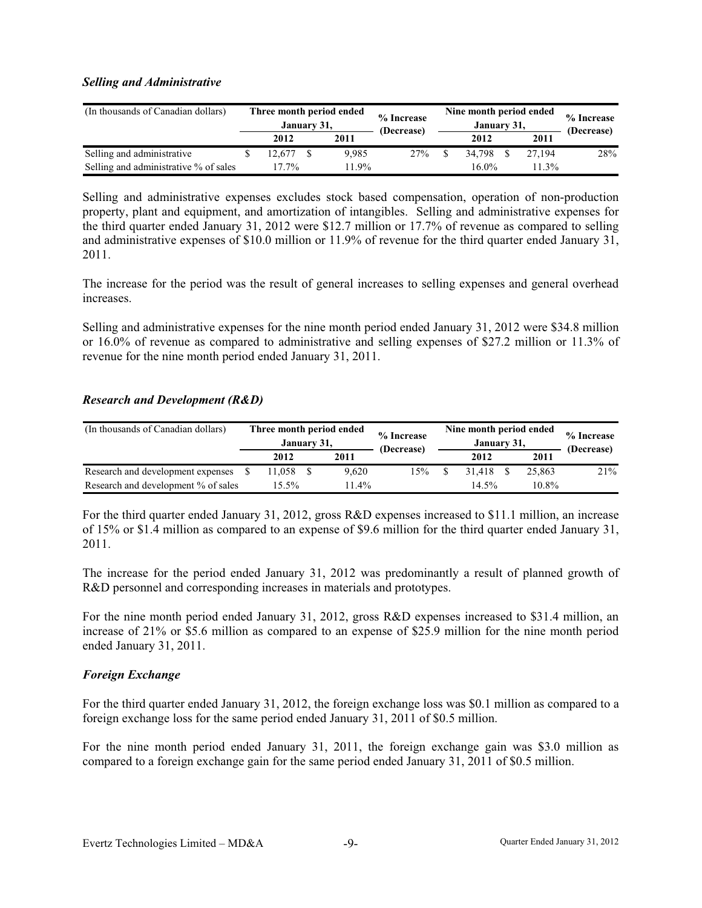### *Selling and Administrative*

| (In thousands of Canadian dollars)    | Three month period ended<br>January 31, |  | % Increase<br>(Decrease) | Nine month period ended<br>January 31, | % Increase<br>(Decrease) |          |     |
|---------------------------------------|-----------------------------------------|--|--------------------------|----------------------------------------|--------------------------|----------|-----|
|                                       | 2012                                    |  | 2011                     |                                        | 2012                     | 2011     |     |
| Selling and administrative            | 12.677                                  |  | 9.985                    | 27%                                    | 34.798                   | 27.194   | 28% |
| Selling and administrative % of sales | 17.7%                                   |  | $1.9\%$                  |                                        | 16.0%                    | $11.3\%$ |     |

Selling and administrative expenses excludes stock based compensation, operation of non-production property, plant and equipment, and amortization of intangibles. Selling and administrative expenses for the third quarter ended January 31, 2012 were \$12.7 million or 17.7% of revenue as compared to selling and administrative expenses of \$10.0 million or 11.9% of revenue for the third quarter ended January 31, 2011.

The increase for the period was the result of general increases to selling expenses and general overhead increases.

Selling and administrative expenses for the nine month period ended January 31, 2012 were \$34.8 million or 16.0% of revenue as compared to administrative and selling expenses of \$27.2 million or 11.3% of revenue for the nine month period ended January 31, 2011.

### *Research and Development (R&D)*

| (In thousands of Canadian dollars)  | Three month period ended<br>January 31, |  | % Increase<br>(Decrease) | Nine month period ended<br>January 31, | % Increase<br>(Decrease) |        |     |
|-------------------------------------|-----------------------------------------|--|--------------------------|----------------------------------------|--------------------------|--------|-----|
|                                     | 2012                                    |  | 2011                     |                                        | 2012                     | 2011   |     |
| Research and development expenses   | 1.058                                   |  | 9.620                    | 15%                                    | 31.418                   | 25,863 | 21% |
| Research and development % of sales | 15.5%                                   |  | $11.4\%$                 |                                        | 14.5%                    | 10.8%  |     |

For the third quarter ended January 31, 2012, gross R&D expenses increased to \$11.1 million, an increase of 15% or \$1.4 million as compared to an expense of \$9.6 million for the third quarter ended January 31, 2011.

The increase for the period ended January 31, 2012 was predominantly a result of planned growth of R&D personnel and corresponding increases in materials and prototypes.

For the nine month period ended January 31, 2012, gross R&D expenses increased to \$31.4 million, an increase of 21% or \$5.6 million as compared to an expense of \$25.9 million for the nine month period ended January 31, 2011.

### *Foreign Exchange*

For the third quarter ended January 31, 2012, the foreign exchange loss was \$0.1 million as compared to a foreign exchange loss for the same period ended January 31, 2011 of \$0.5 million.

For the nine month period ended January 31, 2011, the foreign exchange gain was \$3.0 million as compared to a foreign exchange gain for the same period ended January 31, 2011 of \$0.5 million.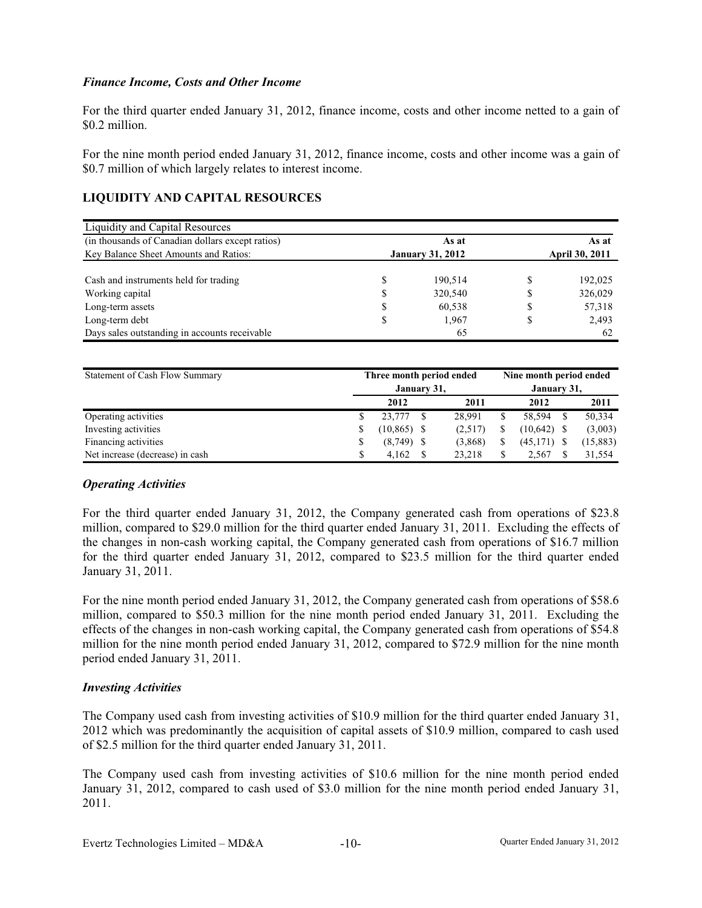### *Finance Income, Costs and Other Income*

For the third quarter ended January 31, 2012, finance income, costs and other income netted to a gain of \$0.2 million.

For the nine month period ended January 31, 2012, finance income, costs and other income was a gain of \$0.7 million of which largely relates to interest income.

# **LIQUIDITY AND CAPITAL RESOURCES**

| Liquidity and Capital Resources                  |                         |   |                       |
|--------------------------------------------------|-------------------------|---|-----------------------|
| (in thousands of Canadian dollars except ratios) | As at                   |   | As at                 |
| Key Balance Sheet Amounts and Ratios:            | <b>January 31, 2012</b> |   | <b>April 30, 2011</b> |
|                                                  |                         |   |                       |
| Cash and instruments held for trading            | \$<br>190.514           | S | 192,025               |
| Working capital                                  | \$<br>320,540           | S | 326,029               |
| Long-term assets                                 | \$<br>60,538            | S | 57,318                |
| Long-term debt                                   | \$<br>1.967             | S | 2,493                 |
| Days sales outstanding in accounts receivable    | 65                      |   | 62                    |

| Statement of Cash Flow Summary  | Three month period ended |              |  |         |             |               | Nine month period ended |           |  |  |
|---------------------------------|--------------------------|--------------|--|---------|-------------|---------------|-------------------------|-----------|--|--|
|                                 |                          | January 31,  |  |         | January 31, |               |                         |           |  |  |
|                                 |                          | 2012         |  | 2011    |             | 2012          |                         | 2011      |  |  |
| Operating activities            |                          | 23,777       |  | 28,991  | S           | 58.594        |                         | 50,334    |  |  |
| Investing activities            |                          | (10, 865)    |  | (2,517) | S           | $(10,642)$ \$ |                         | (3,003)   |  |  |
| Financing activities            |                          | $(8,749)$ \$ |  | (3,868) | S           | $(45,171)$ \$ |                         | (15, 883) |  |  |
| Net increase (decrease) in cash |                          | 4.162        |  | 23,218  | \$          | 2.567         |                         | 31,554    |  |  |

### *Operating Activities*

For the third quarter ended January 31, 2012, the Company generated cash from operations of \$23.8 million, compared to \$29.0 million for the third quarter ended January 31, 2011. Excluding the effects of the changes in non-cash working capital, the Company generated cash from operations of \$16.7 million for the third quarter ended January 31, 2012, compared to \$23.5 million for the third quarter ended January 31, 2011.

For the nine month period ended January 31, 2012, the Company generated cash from operations of \$58.6 million, compared to \$50.3 million for the nine month period ended January 31, 2011. Excluding the effects of the changes in non-cash working capital, the Company generated cash from operations of \$54.8 million for the nine month period ended January 31, 2012, compared to \$72.9 million for the nine month period ended January 31, 2011.

### *Investing Activities*

The Company used cash from investing activities of \$10.9 million for the third quarter ended January 31, 2012 which was predominantly the acquisition of capital assets of \$10.9 million, compared to cash used of \$2.5 million for the third quarter ended January 31, 2011.

The Company used cash from investing activities of \$10.6 million for the nine month period ended January 31, 2012, compared to cash used of \$3.0 million for the nine month period ended January 31, 2011.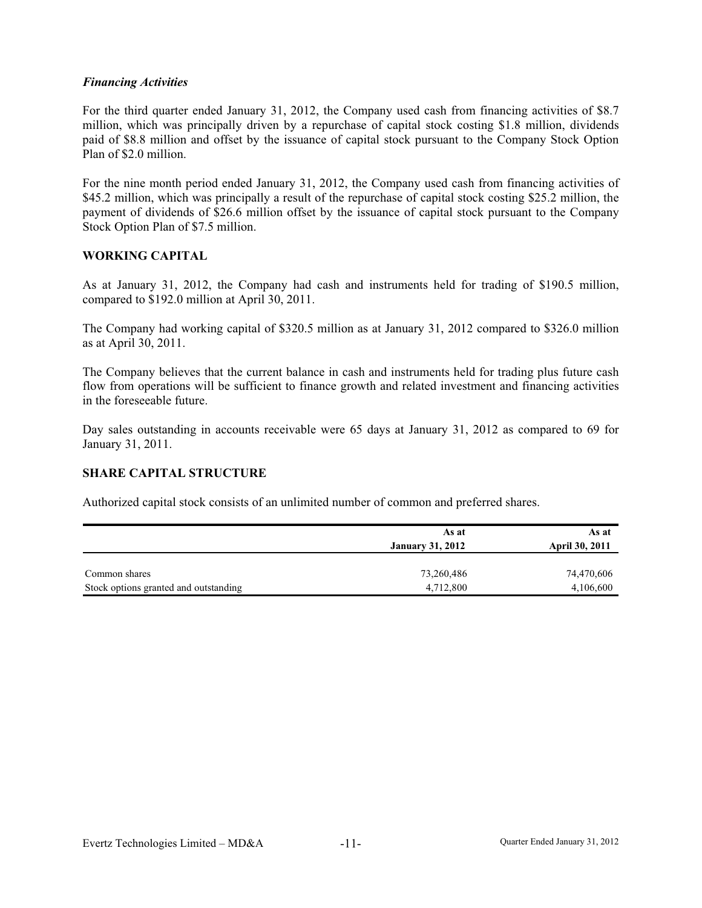### *Financing Activities*

For the third quarter ended January 31, 2012, the Company used cash from financing activities of \$8.7 million, which was principally driven by a repurchase of capital stock costing \$1.8 million, dividends paid of \$8.8 million and offset by the issuance of capital stock pursuant to the Company Stock Option Plan of \$2.0 million.

For the nine month period ended January 31, 2012, the Company used cash from financing activities of \$45.2 million, which was principally a result of the repurchase of capital stock costing \$25.2 million, the payment of dividends of \$26.6 million offset by the issuance of capital stock pursuant to the Company Stock Option Plan of \$7.5 million.

### **WORKING CAPITAL**

As at January 31, 2012, the Company had cash and instruments held for trading of \$190.5 million, compared to \$192.0 million at April 30, 2011.

The Company had working capital of \$320.5 million as at January 31, 2012 compared to \$326.0 million as at April 30, 2011.

The Company believes that the current balance in cash and instruments held for trading plus future cash flow from operations will be sufficient to finance growth and related investment and financing activities in the foreseeable future.

Day sales outstanding in accounts receivable were 65 days at January 31, 2012 as compared to 69 for January 31, 2011.

### **SHARE CAPITAL STRUCTURE**

Authorized capital stock consists of an unlimited number of common and preferred shares.

|                                       | As at                   | As at                 |
|---------------------------------------|-------------------------|-----------------------|
|                                       | <b>January 31, 2012</b> | <b>April 30, 2011</b> |
|                                       |                         |                       |
| Common shares                         | 73,260,486              | 74,470,606            |
| Stock options granted and outstanding | 4,712,800               | 4,106,600             |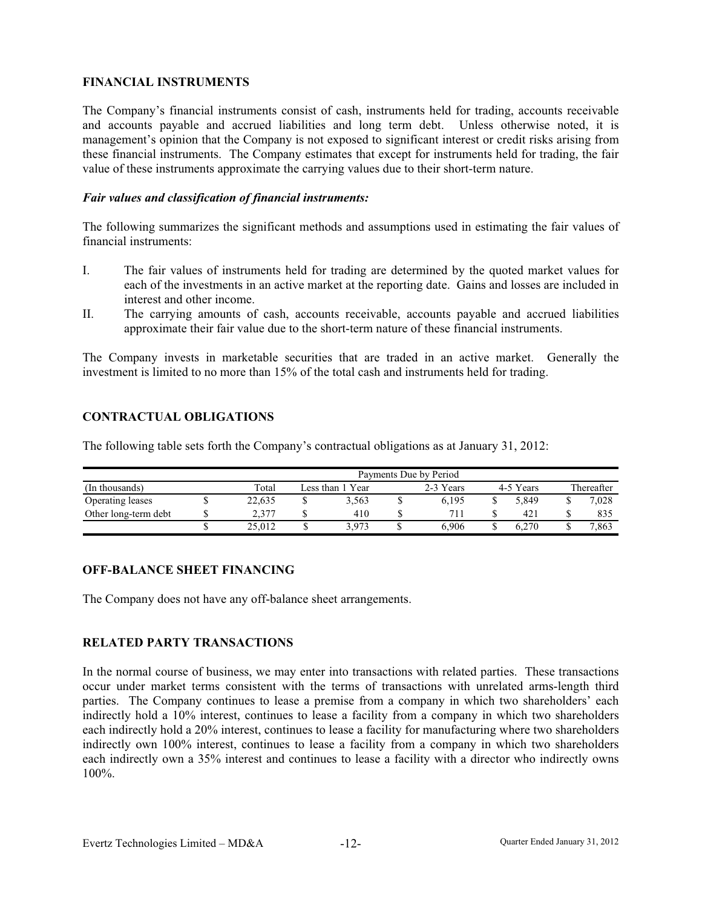### **FINANCIAL INSTRUMENTS**

The Company's financial instruments consist of cash, instruments held for trading, accounts receivable and accounts payable and accrued liabilities and long term debt. Unless otherwise noted, it is management's opinion that the Company is not exposed to significant interest or credit risks arising from these financial instruments. The Company estimates that except for instruments held for trading, the fair value of these instruments approximate the carrying values due to their short-term nature.

#### *Fair values and classification of financial instruments:*

The following summarizes the significant methods and assumptions used in estimating the fair values of financial instruments:

- I. The fair values of instruments held for trading are determined by the quoted market values for each of the investments in an active market at the reporting date. Gains and losses are included in interest and other income.
- II. The carrying amounts of cash, accounts receivable, accounts payable and accrued liabilities approximate their fair value due to the short-term nature of these financial instruments.

The Company invests in marketable securities that are traded in an active market. Generally the investment is limited to no more than 15% of the total cash and instruments held for trading.

# **ONTRACTUAL OBLIGATIONS C**

The following table sets forth the Company's contractual obligations as at January 31, 2012:

|                      | Payments Due by Period |        |  |                  |  |           |  |           |  |            |  |  |
|----------------------|------------------------|--------|--|------------------|--|-----------|--|-----------|--|------------|--|--|
| (In thousands)       |                        | Total  |  | Less than 1 Year |  | 2-3 Years |  | 4-5 Years |  | Thereafter |  |  |
| Operating leases     |                        | 22.635 |  | 3.563            |  | 6.195     |  | 5.849     |  | 7.028      |  |  |
| Other long-term debt |                        | 2.377  |  | 410              |  | 711       |  | 421       |  | 835        |  |  |
|                      |                        | 25.012 |  | 3.973            |  | 6.906     |  | 6.270     |  | 7.863      |  |  |

### **OFF-BALANCE SHEET FINANCING**

The Company does not have any off-balance sheet arrangements.

# **ELATED PARTY TRANSACTIONS R**

In the normal course of business, we may enter into transactions with related parties. These transactions occur under market terms consistent with the terms of transactions with unrelated arms-length third parties. The Company continues to lease a premise from a company in which two shareholders' each indirectly hold a 10% interest, continues to lease a facility from a company in which two shareholders each indirectly hold a 20% interest, continues to lease a facility for manufacturing where two shareholders indirectly own 100% interest, continues to lease a facility from a company in which two shareholders each indirectly own a 35% interest and continues to lease a facility with a director who indirectly owns 100%.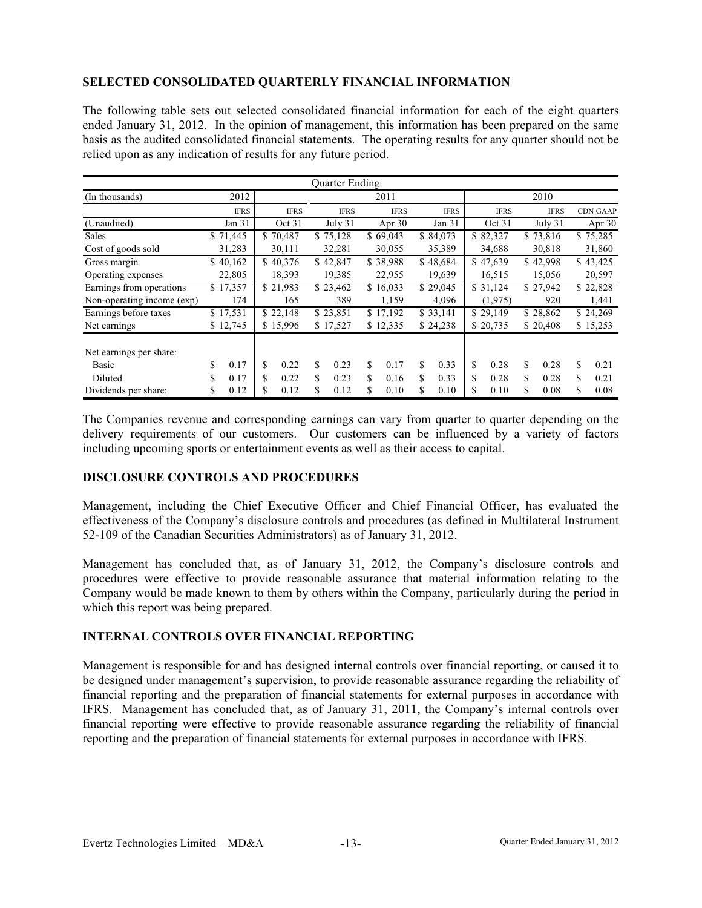# **SELECTED CONSOLIDATED QUARTERLY FINANCIAL INFORMATION**

The following table sets out selected consolidated financial information for each of the eight quarters ended January 31, 2012. In the opinion of management, this information has been prepared on the same basis as the audited consolidated financial statements. The operating results for any quarter should not be relied upon as any indication of results for any future period.

|                                  | <b>Ouarter Ending</b> |             |             |             |             |             |             |                 |  |  |  |
|----------------------------------|-----------------------|-------------|-------------|-------------|-------------|-------------|-------------|-----------------|--|--|--|
| (In thousands)                   | 2012                  |             |             | 2011        |             |             | 2010        |                 |  |  |  |
|                                  | <b>IFRS</b>           | <b>IFRS</b> | <b>IFRS</b> | <b>IFRS</b> | <b>IFRS</b> | <b>IFRS</b> | <b>IFRS</b> | <b>CDN GAAP</b> |  |  |  |
| (Unaudited)                      | Jan 31                | Oct 31      | July 31     | Apr $30$    | Jan $31$    | Oct 31      | July 31     | Apr $30$        |  |  |  |
| <b>Sales</b>                     | \$71,445              | \$70,487    | \$75,128    | \$69,043    | \$84,073    | \$82,327    | \$73,816    | \$75,285        |  |  |  |
| Cost of goods sold               | 31,283                | 30,111      | 32,281      | 30,055      | 35,389      | 34,688      | 30,818      | 31,860          |  |  |  |
| Gross margin                     | \$40,162              | \$40,376    | \$42,847    | \$38,988    | \$48,684    | \$47,639    | \$42,998    | \$43,425        |  |  |  |
| Operating expenses               | 22,805                | 18,393      | 19,385      | 22,955      | 19,639      | 16,515      | 15,056      | 20,597          |  |  |  |
| Earnings from operations         | \$17,357              | \$21,983    | \$23,462    | \$16,033    | \$29,045    | \$31,124    | \$27,942    | \$22,828        |  |  |  |
| Non-operating income (exp)       | 174                   | 165         | 389         | 1,159       | 4,096       | (1,975)     | 920         | 1,441           |  |  |  |
| Earnings before taxes            | \$17,531              | \$22,148    | \$23,851    | \$17,192    | \$33,141    | \$29,149    | \$28,862    | \$24,269        |  |  |  |
| Net earnings                     | \$12,745              | \$15,996    | \$17,527    | \$12,335    | \$24,238    | \$20,735    | \$20,408    | \$15,253        |  |  |  |
| Net earnings per share:<br>Basic | \$<br>0.17            | \$<br>0.22  | \$<br>0.23  | \$<br>0.17  | \$<br>0.33  | \$<br>0.28  | \$.<br>0.28 | 0.21<br>\$      |  |  |  |
| Diluted                          | \$<br>0.17            | \$<br>0.22  | \$<br>0.23  | \$<br>0.16  | 0.33<br>S.  | \$<br>0.28  | \$<br>0.28  | 0.21<br>\$      |  |  |  |
| Dividends per share:             | 0.12<br>J.            | \$<br>0.12  | 0.12<br>\$  | \$<br>0.10  | 0.10<br>S   | \$<br>0.10  | \$<br>0.08  | \$<br>0.08      |  |  |  |

The Companies revenue and corresponding earnings can vary from quarter to quarter depending on the delivery requirements of our customers. Our customers can be influenced by a variety of factors including upcoming sports or entertainment events as well as their access to capital.

#### **DISCLOSURE CONTROLS AND PROCEDURES**

Management, including the Chief Executive Officer and Chief Financial Officer, has evaluated the effectiveness of the Company's disclosure controls and procedures (as defined in Multilateral Instrument 52-109 of the Canadian Securities Administrators) as of January 31, 2012.

Management has concluded that, as of January 31, 2012, the Company's disclosure controls and procedures were effective to provide reasonable assurance that material information relating to the Company would be made known to them by others within the Company, particularly during the period in which this report was being prepared.

### **INTERNAL CONTROLS OVER FINANCIAL REPORTING**

Management is responsible for and has designed internal controls over financial reporting, or caused it to be designed under management's supervision, to provide reasonable assurance regarding the reliability of financial reporting and the preparation of financial statements for external purposes in accordance with IFRS. Management has concluded that, as of January 31, 2011, the Company's internal controls over financial reporting were effective to provide reasonable assurance regarding the reliability of financial reporting and the preparation of financial statements for external purposes in accordance with IFRS.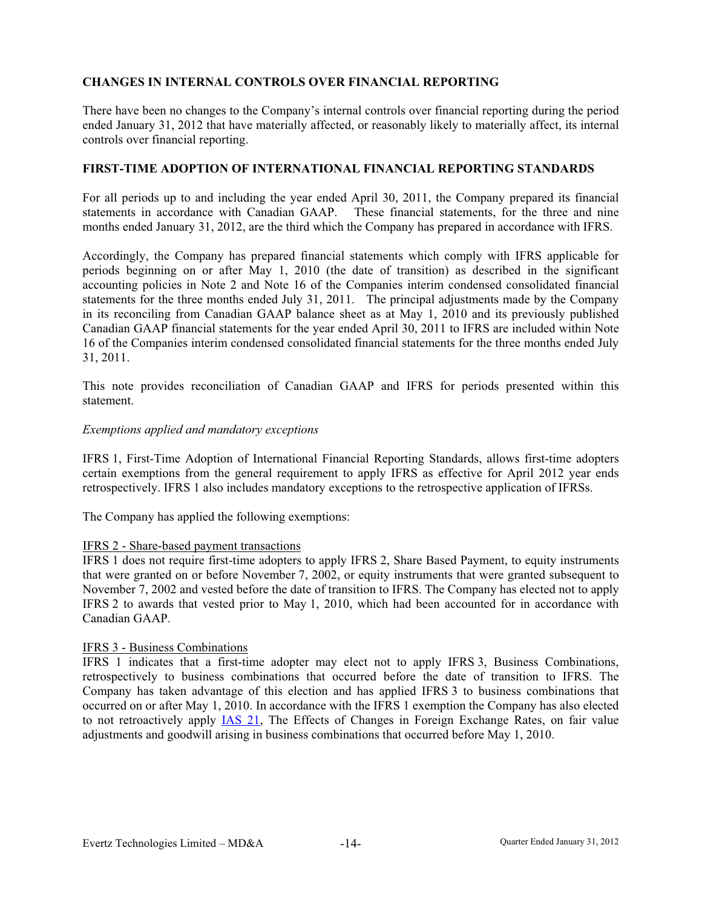# **CHANGES IN INTERNAL CONTROLS OVER FINANCIAL REPORTING**

There have been no changes to the Company's internal controls over financial reporting during the period ended January 31, 2012 that have materially affected, or reasonably likely to materially affect, its internal controls over financial reporting.

#### **FIRST-TIME ADOPTION OF INTERNATIONAL FINANCIAL REPORTING STANDARDS**

For all periods up to and including the year ended April 30, 2011, the Company prepared its financial statements in accordance with Canadian GAAP. These financial statements, for the three and nine months ended January 31, 2012, are the third which the Company has prepared in accordance with IFRS.

Accordingly, the Company has prepared financial statements which comply with IFRS applicable for periods beginning on or after May 1, 2010 (the date of transition) as described in the significant accounting policies in Note 2 and Note 16 of the Companies interim condensed consolidated financial statements for the three months ended July 31, 2011. The principal adjustments made by the Company in its reconciling from Canadian GAAP balance sheet as at May 1, 2010 and its previously published Canadian GAAP financial statements for the year ended April 30, 2011 to IFRS are included within Note 16 of the Companies interim condensed consolidated financial statements for the three months ended July 31, 2011.

This note provides reconciliation of Canadian GAAP and IFRS for periods presented within this statement.

#### *Exemptions applied and mandatory exceptions*

IFRS 1, First-Time Adoption of International Financial Reporting Standards, allows first-time adopters certain exemptions from the general requirement to apply IFRS as effective for April 2012 year ends retrospectively. IFRS 1 also includes mandatory exceptions to the retrospective application of IFRSs.

The Company has applied the following exemptions:

### IFRS 2 - Share-based payment transactions

IFRS 1 does not require first-time adopters to apply IFRS 2, Share Based Payment, to equity instruments that were granted on or before November 7, 2002, or equity instruments that were granted subsequent to November 7, 2002 and vested before the date of transition to IFRS. The Company has elected not to apply IFRS 2 to awards that vested prior to May 1, 2010, which had been accounted for in accordance with Canadian GAAP.

#### IFRS 3 - Business Combinations

IFRS 1 indicates that a first-time adopter may elect not to apply IFRS 3, Business Combinations, retrospectively to business combinations that occurred before the date of transition to IFRS. The Company has taken advantage of this election and has applied IFRS 3 to business combinations that occurred on or after May 1, 2010. In accordance with the IFRS 1 exemption the Company has also elected to not retroactively apply IAS 21, The Effects of Changes in Foreign Exchange Rates, on fair value adjustments and goodwill arising in business combinations that occurred before May 1, 2010.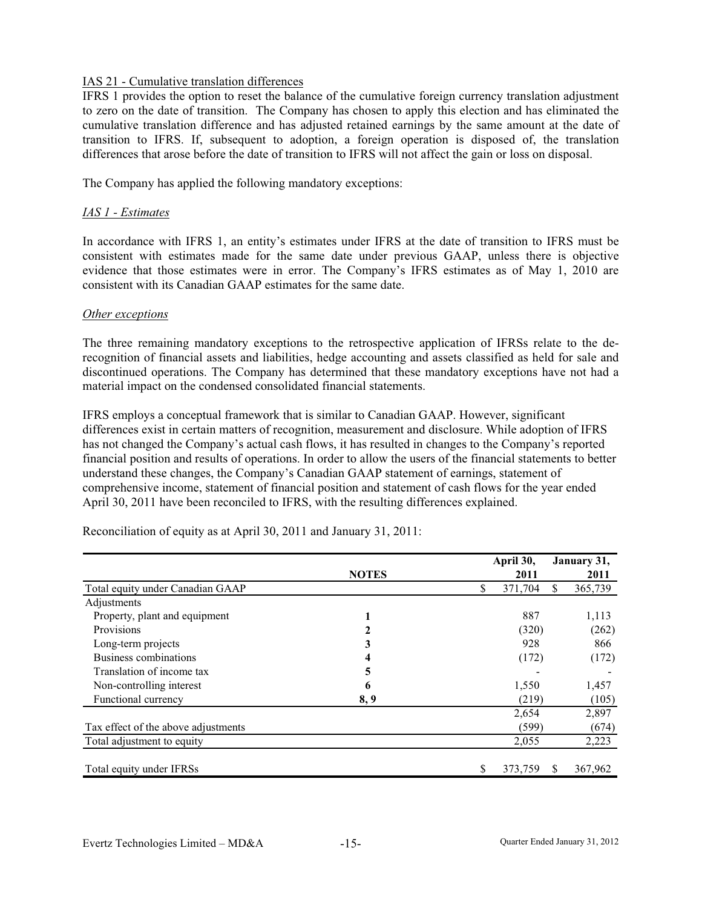### IAS 21 - Cumulative translation differences

IFRS 1 provides the option to reset the balance of the cumulative foreign currency translation adjustment to zero on the date of transition. The Company has chosen to apply this election and has eliminated the cumulative translation difference and has adjusted retained earnings by the same amount at the date of transition to IFRS. If, subsequent to adoption, a foreign operation is disposed of, the translation differences that arose before the date of transition to IFRS will not affect the gain or loss on disposal.

The Company has applied the following mandatory exceptions:

### *IAS 1 - Estimates*

In accordance with IFRS 1, an entity's estimates under IFRS at the date of transition to IFRS must be consistent with estimates made for the same date under previous GAAP, unless there is objective evidence that those estimates were in error. The Company's IFRS estimates as of May 1, 2010 are consistent with its Canadian GAAP estimates for the same date.

### *Other exceptions*

The three remaining mandatory exceptions to the retrospective application of IFRSs relate to the derecognition of financial assets and liabilities, hedge accounting and assets classified as held for sale and discontinued operations. The Company has determined that these mandatory exceptions have not had a material impact on the condensed consolidated financial statements.

IFRS employs a conceptual framework that is similar to Canadian GAAP. However, significant differences exist in certain matters of recognition, measurement and disclosure. While adoption of IFRS has not changed the Company's actual cash flows, it has resulted in changes to the Company's reported financial position and results of operations. In order to allow the users of the financial statements to better understand these changes, the Company's Canadian GAAP statement of earnings, statement of comprehensive income, statement of financial position and statement of cash flows for the year ended April 30, 2011 have been reconciled to IFRS, with the resulting differences explained.

|                                     |              | April 30,     |    | January 31, |
|-------------------------------------|--------------|---------------|----|-------------|
|                                     | <b>NOTES</b> | 2011          |    | 2011        |
| Total equity under Canadian GAAP    |              | \$<br>371,704 | S. | 365,739     |
| Adjustments                         |              |               |    |             |
| Property, plant and equipment       |              | 887           |    | 1,113       |
| Provisions                          |              | (320)         |    | (262)       |
| Long-term projects                  | 3            | 928           |    | 866         |
| Business combinations               |              | (172)         |    | (172)       |
| Translation of income tax           | 5            |               |    |             |
| Non-controlling interest            | 6            | 1,550         |    | 1,457       |
| Functional currency                 | 8,9          | (219)         |    | (105)       |
|                                     |              | 2,654         |    | 2,897       |
| Tax effect of the above adjustments |              | (599)         |    | (674)       |
| Total adjustment to equity          |              | 2,055         |    | 2,223       |
| Total equity under IFRSs            |              | \$<br>373,759 | S. | 367,962     |

Reconciliation of equity as at April 30, 2011 and January 31, 2011: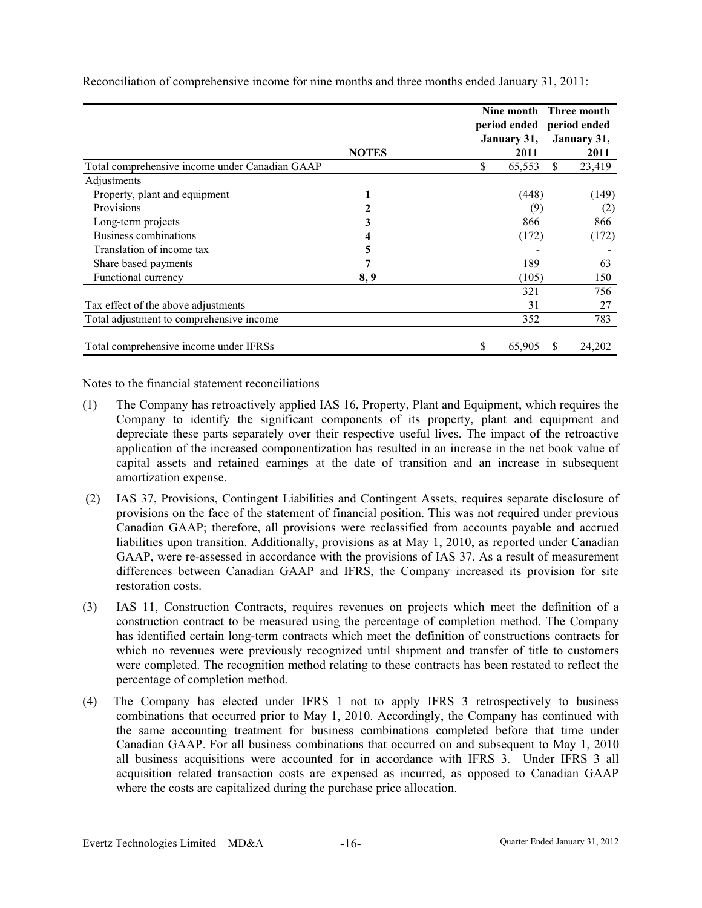|                                                |              | period ended<br>January 31, |               | Nine month Three month<br>period ended<br>January 31, |  |
|------------------------------------------------|--------------|-----------------------------|---------------|-------------------------------------------------------|--|
|                                                | <b>NOTES</b> | 2011                        |               | 2011                                                  |  |
| Total comprehensive income under Canadian GAAP |              | \$<br>65,553                | <sup>\$</sup> | 23,419                                                |  |
| Adjustments                                    |              |                             |               |                                                       |  |
| Property, plant and equipment                  |              | (448)                       |               | (149)                                                 |  |
| Provisions                                     |              | (9)                         |               | (2)                                                   |  |
| Long-term projects                             | 3            | 866                         |               | 866                                                   |  |
| Business combinations                          |              | (172)                       |               | (172)                                                 |  |
| Translation of income tax                      | 5            |                             |               |                                                       |  |
| Share based payments                           | 7            | 189                         |               | 63                                                    |  |
| Functional currency                            | 8,9          | (105)                       |               | 150                                                   |  |
|                                                |              | 321                         |               | 756                                                   |  |
| Tax effect of the above adjustments            |              | 31                          |               | 27                                                    |  |
| Total adjustment to comprehensive income       |              | 352                         |               | 783                                                   |  |
| Total comprehensive income under IFRSs         |              | \$<br>65,905                | <sup>S</sup>  | 24,202                                                |  |

Reconciliation of comprehensive income for nine months and three months ended January 31, 2011:

Notes to the financial statement reconciliations

- (1) The Company has retroactively applied IAS 16, Property, Plant and Equipment, which requires the Company to identify the significant components of its property, plant and equipment and depreciate these parts separately over their respective useful lives. The impact of the retroactive application of the increased componentization has resulted in an increase in the net book value of capital assets and retained earnings at the date of transition and an increase in subsequent amortization expense.
- (2) IAS 37, Provisions, Contingent Liabilities and Contingent Assets, requires separate disclosure of provisions on the face of the statement of financial position. This was not required under previous Canadian GAA P; therefore, all provisions were reclassified from accounts payable and accrued liabilities upon transition. Additionally, provisions as at May 1, 2010, as reported under Canadian GAAP, were r e-assessed in accordance with the provisions of IAS 37. As a result of measurement differences be tween Canadian GAAP and IFRS, the Company increased its provision for site restoration costs.
- (3) IAS 11, Cons truction Contracts, requires revenues on projects which meet the definition of a construction contract to be measured using the percentage of completion method. The Company which no reve nues were previously recognized until shipment and transfer of title to customers were complete d. The recognition method relating to these contracts has been restated to reflect the percentage of c ompletion method. has identified certain long-term contracts which meet the definition of constructions contracts for
- (4) The Company has elected under IFRS 1 not to apply IFRS 3 retrospectively to business combinations t hat occurred prior to May 1, 2010. Accordingly, the Company has continued with the same accounting treatment for business combinations completed before that time under all business a cquisitions were accounted for in accordance with IFRS 3. Under IFRS 3 all acquisition rel ated transaction costs are expensed as incurred, as opposed to Canadian GAAP where the costs are capitalized during the purchase price allocation. Canadian GAAP. For all business combinations that occurred on and subsequent to May 1, 2010